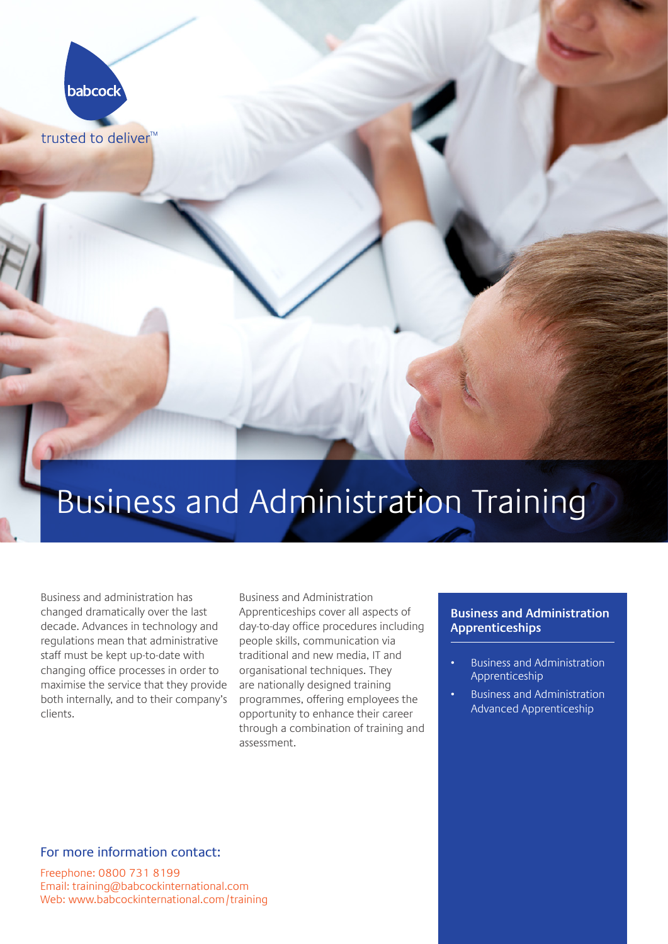

trusted to deliver<sup>™</sup>

# Business and Administration Training

Business and administration has changed dramatically over the last decade. Advances in technology and regulations mean that administrative staff must be kept up-to-date with changing office processes in order to maximise the service that they provide both internally, and to their company's clients.

Business and Administration Apprenticeships cover all aspects of day-to-day office procedures including people skills, communication via traditional and new media, IT and organisational techniques. They are nationally designed training programmes, offering employees the opportunity to enhance their career through a combination of training and assessment.

#### **Business and Administration Apprenticeships**

- Business and Administration Apprenticeship
- Business and Administration Advanced Apprenticeship

#### For more information contact:

Freephone: [0800 731 8199](tel:08007318199)  Email: [training@babcockinternational.com](mailto:training%40babcockinternational.com?subject=I%20am%20interested%20in%20Babcock%20apprenticeships)  Web: [www.babcockinternational.com/training](http://www.babcockinternational.com/training)